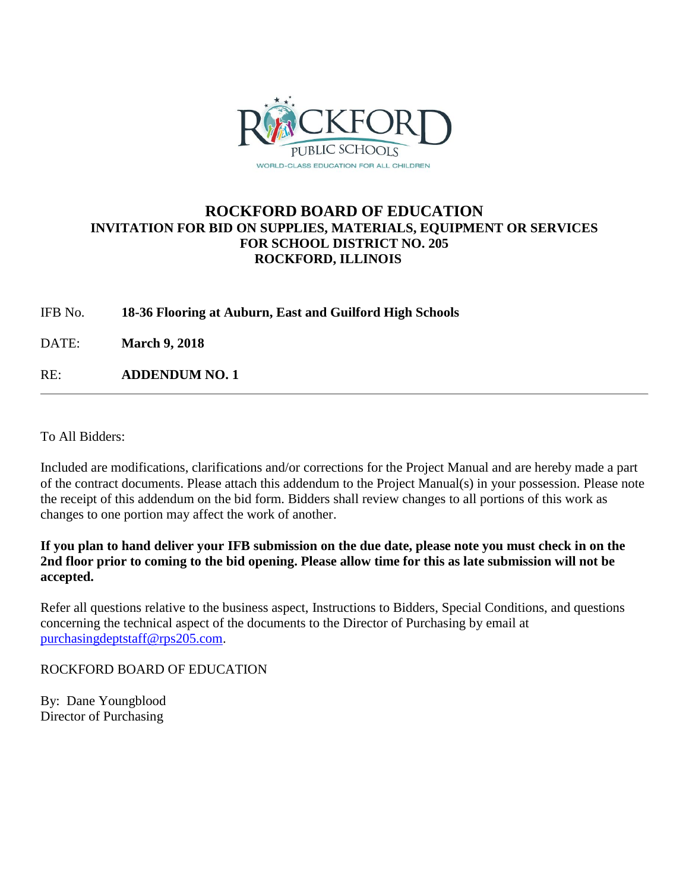

## **ROCKFORD BOARD OF EDUCATION INVITATION FOR BID ON SUPPLIES, MATERIALS, EQUIPMENT OR SERVICES FOR SCHOOL DISTRICT NO. 205 ROCKFORD, ILLINOIS**

IFB No. **18-36 Flooring at Auburn, East and Guilford High Schools**

DATE: **March 9, 2018**

RE: **ADDENDUM NO. 1**

To All Bidders:

Included are modifications, clarifications and/or corrections for the Project Manual and are hereby made a part of the contract documents. Please attach this addendum to the Project Manual(s) in your possession. Please note the receipt of this addendum on the bid form. Bidders shall review changes to all portions of this work as changes to one portion may affect the work of another.

**If you plan to hand deliver your IFB submission on the due date, please note you must check in on the 2nd floor prior to coming to the bid opening. Please allow time for this as late submission will not be accepted.**

Refer all questions relative to the business aspect, Instructions to Bidders, Special Conditions, and questions concerning the technical aspect of the documents to the Director of Purchasing by email at [purchasingdeptstaff@rps205.com.](mailto:purchasingdeptstaff@rps205.com)

ROCKFORD BOARD OF EDUCATION

By: Dane Youngblood Director of Purchasing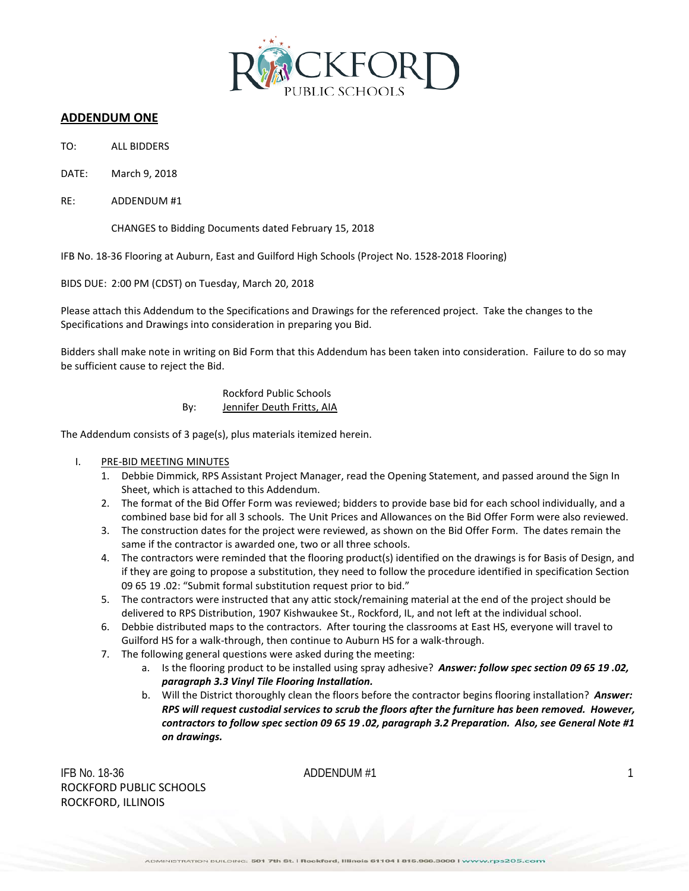

### **ADDENDUM ONE**

- TO: ALL BIDDERS
- DATE: March 9, 2018
- RE: ADDENDUM #1

CHANGES to Bidding Documents dated February 15, 2018

IFB No. 18-36 Flooring at Auburn, East and Guilford High Schools (Project No. 1528-2018 Flooring)

BIDS DUE: 2:00 PM (CDST) on Tuesday, March 20, 2018

Please attach this Addendum to the Specifications and Drawings for the referenced project. Take the changes to the Specifications and Drawings into consideration in preparing you Bid.

Bidders shall make note in writing on Bid Form that this Addendum has been taken into consideration. Failure to do so may be sufficient cause to reject the Bid.

> Rockford Public Schools By: Jennifer Deuth Fritts, AIA

The Addendum consists of 3 page(s), plus materials itemized herein.

- I. PRE-BID MEETING MINUTES
	- 1. Debbie Dimmick, RPS Assistant Project Manager, read the Opening Statement, and passed around the Sign In Sheet, which is attached to this Addendum.
	- 2. The format of the Bid Offer Form was reviewed; bidders to provide base bid for each school individually, and a combined base bid for all 3 schools. The Unit Prices and Allowances on the Bid Offer Form were also reviewed.
	- 3. The construction dates for the project were reviewed, as shown on the Bid Offer Form. The dates remain the same if the contractor is awarded one, two or all three schools.
	- 4. The contractors were reminded that the flooring product(s) identified on the drawings is for Basis of Design, and if they are going to propose a substitution, they need to follow the procedure identified in specification Section 09 65 19 .02: "Submit formal substitution request prior to bid."
	- 5. The contractors were instructed that any attic stock/remaining material at the end of the project should be delivered to RPS Distribution, 1907 Kishwaukee St., Rockford, IL, and not left at the individual school.
	- 6. Debbie distributed maps to the contractors. After touring the classrooms at East HS, everyone will travel to Guilford HS for a walk-through, then continue to Auburn HS for a walk-through.
	- 7. The following general questions were asked during the meeting:
		- a. Is the flooring product to be installed using spray adhesive? *Answer: follow spec section 09 65 19 .02, paragraph 3.3 Vinyl Tile Flooring Installation.*
		- b. Will the District thoroughly clean the floors before the contractor begins flooring installation? *Answer: RPS will request custodial services to scrub the floors after the furniture has been removed. However, contractors to follow spec section 09 65 19 .02, paragraph 3.2 Preparation. Also, see General Note #1 on drawings.*

IFB No. 18-36  $ADDENDUM #1$  1 ROCKFORD PUBLIC SCHOOLS ROCKFORD, ILLINOIS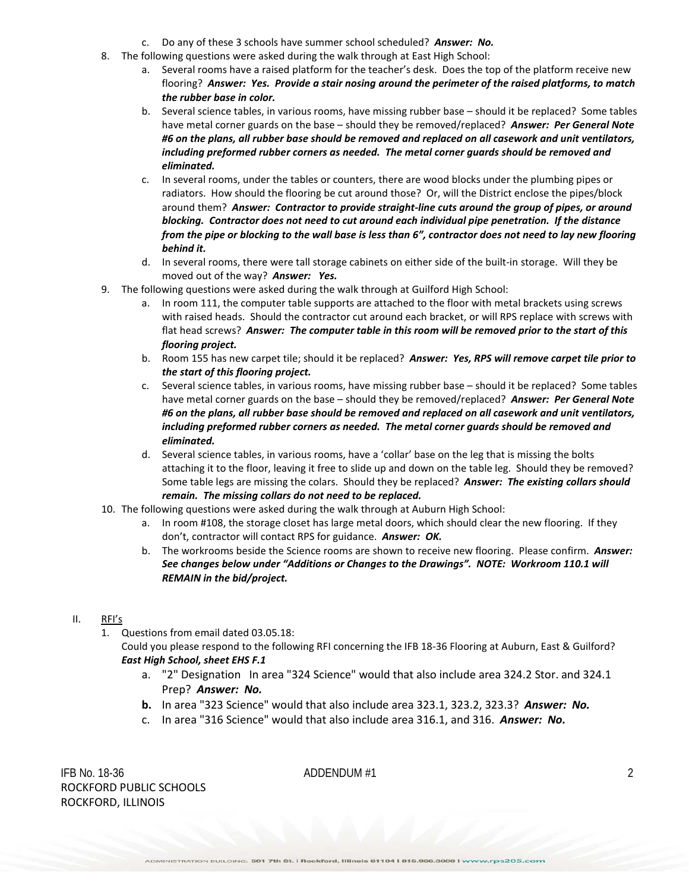- c. Do any of these 3 schools have summer school scheduled? *Answer: No.*
- 8. The following questions were asked during the walk through at East High School:
	- a. Several rooms have a raised platform for the teacher's desk. Does the top of the platform receive new flooring? *Answer: Yes. Provide a stair nosing around the perimeter of the raised platforms, to match the rubber base in color.*
	- b. Several science tables, in various rooms, have missing rubber base should it be replaced? Some tables have metal corner guards on the base – should they be removed/replaced? *Answer: Per General Note #6 on the plans, all rubber base should be removed and replaced on all casework and unit ventilators, including preformed rubber corners as needed. The metal corner guards should be removed and eliminated.*
	- c. In several rooms, under the tables or counters, there are wood blocks under the plumbing pipes or radiators. How should the flooring be cut around those? Or, will the District enclose the pipes/block around them? *Answer: Contractor to provide straight-line cuts around the group of pipes, or around blocking. Contractor does not need to cut around each individual pipe penetration. If the distance from the pipe or blocking to the wall base is less than 6", contractor does not need to lay new flooring behind it.*
	- d. In several rooms, there were tall storage cabinets on either side of the built-in storage. Will they be moved out of the way? *Answer: Yes.*
- 9. The following questions were asked during the walk through at Guilford High School:
	- a. In room 111, the computer table supports are attached to the floor with metal brackets using screws with raised heads. Should the contractor cut around each bracket, or will RPS replace with screws with flat head screws? *Answer: The computer table in this room will be removed prior to the start of this flooring project.*
	- b. Room 155 has new carpet tile; should it be replaced? *Answer: Yes, RPS will remove carpet tile prior to the start of this flooring project.*
	- c. Several science tables, in various rooms, have missing rubber base should it be replaced? Some tables have metal corner guards on the base – should they be removed/replaced? *Answer: Per General Note #6 on the plans, all rubber base should be removed and replaced on all casework and unit ventilators, including preformed rubber corners as needed. The metal corner guards should be removed and eliminated.*
	- d. Several science tables, in various rooms, have a 'collar' base on the leg that is missing the bolts attaching it to the floor, leaving it free to slide up and down on the table leg. Should they be removed? Some table legs are missing the colars. Should they be replaced? *Answer: The existing collars should remain. The missing collars do not need to be replaced.*
- 10. The following questions were asked during the walk through at Auburn High School:
	- a. In room #108, the storage closet has large metal doors, which should clear the new flooring. If they don't, contractor will contact RPS for guidance. *Answer: OK.*
	- b. The workrooms beside the Science rooms are shown to receive new flooring. Please confirm. *Answer: See changes below under "Additions or Changes to the Drawings". NOTE: Workroom 110.1 will REMAIN in the bid/project.*
- II. RFI's
	- 1. Questions from email dated 03.05.18:

Could you please respond to the following RFI concerning the IFB 18-36 Flooring at Auburn, East & Guilford? *East High School, sheet EHS F.1*

- a. "2" Designation In area "324 Science" would that also include area 324.2 Stor. and 324.1 Prep? *Answer: No.*
- **b.** In area "323 Science" would that also include area 323.1, 323.2, 323.3? *Answer: No.*
- c. In area "316 Science" would that also include area 316.1, and 316. *Answer: No.*

IFB No. 18-36  $\blacksquare$  ADDENDUM #1 2 ROCKFORD PUBLIC SCHOOLS ROCKFORD, ILLINOIS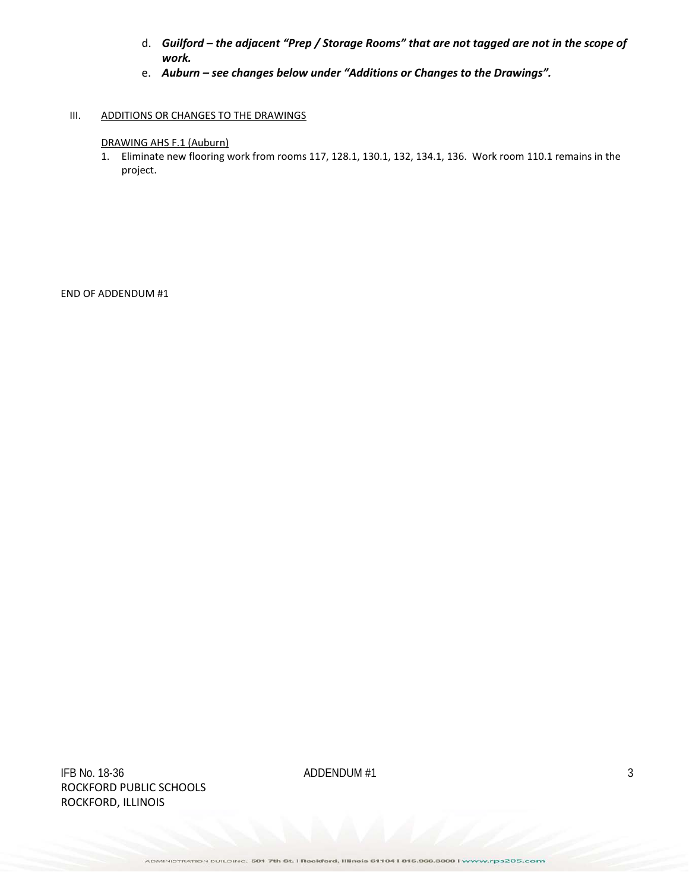- d. *Guilford – the adjacent "Prep / Storage Rooms" that are not tagged are not in the scope of work.*
- e. *Auburn – see changes below under "Additions or Changes to the Drawings".*

### III. ADDITIONS OR CHANGES TO THE DRAWINGS

### DRAWING AHS F.1 (Auburn)

1. Eliminate new flooring work from rooms 117, 128.1, 130.1, 132, 134.1, 136. Work room 110.1 remains in the project.

END OF ADDENDUM #1

IFB No. 18-36  $\blacksquare$  3 ROCKFORD PUBLIC SCHOOLS ROCKFORD, ILLINOIS